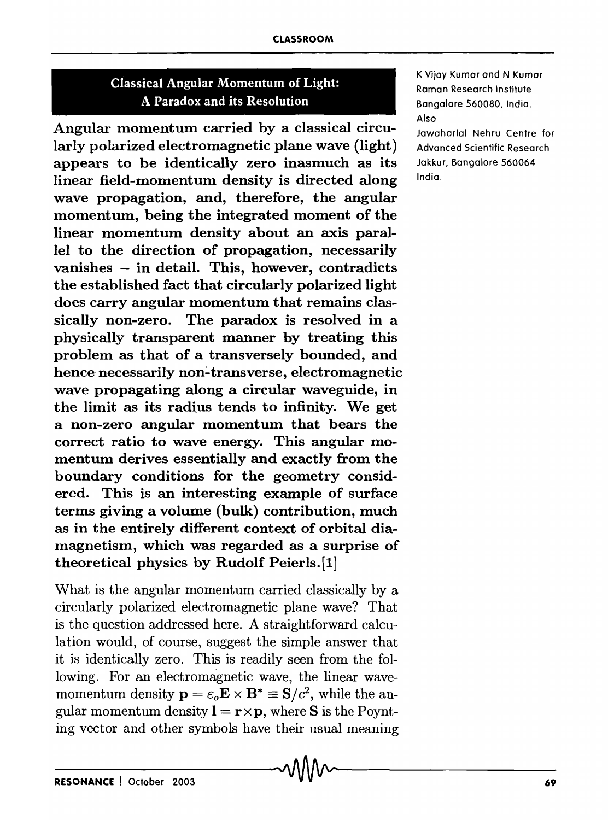## Classical Angular Momentum of Light: A Paradox and its Resolution

Angular momentum carried by a classical circularly polarized electromagnetic plane wave (light) appears to be identically zero inasmuch as its linear field-momentum density is directed along wave propagation, and, therefore, the angular momentum, being the integrated moment of the linear momentum density about an axis parallel to the direction of propagation, necessarily vanishes - in detail. This, however, contradicts the established fact that circularly polarized light does carry angular momentum that remains classically non-zero. The paradox is resolved in a physically transparent manner by treating this problem as that of a transversely bounded, and hence necessarily non-transverse, electromagnetic wave propagating along a circular waveguide, in the limit as its radius tends to infinity. We get a non-zero angular momentum that bears the correct ratio to wave energy. This angular momentum derives essentially and exactly from the boundary conditions for the geometry considered. This is an interesting example of surface terms giving a volume (bulk) contribution, much as in the entirely different context of orbital diamagnetism, which was regarded as a surprise of theoretical physics by Rudolf Peierls. [1]

What is the angular momentum carried classically by a circularly polarized electromagnetic plane wave? That is the question addressed here. A straightforward calculation would, of course, suggest the simple answer that it is identically zero. This is readily seen from the following. For an electromagnetic wave, the linear wavemomentum density  $\mathbf{p} = \varepsilon_o \mathbf{E} \times \mathbf{B}^* \equiv \mathbf{S}/c^2$ , while the angular momentum density  $\mathbf{l} = \mathbf{r} \times \mathbf{p}$ , where S is the Poynting vector and other symbols have their usual meaning

K Vijay Kumar and N Kumar Raman Research Institute Bangalore 560080, India. Also

Jawaharlal Nehru Centre for Advanced Scientific Research Jakkur, Bangalore 560064 India.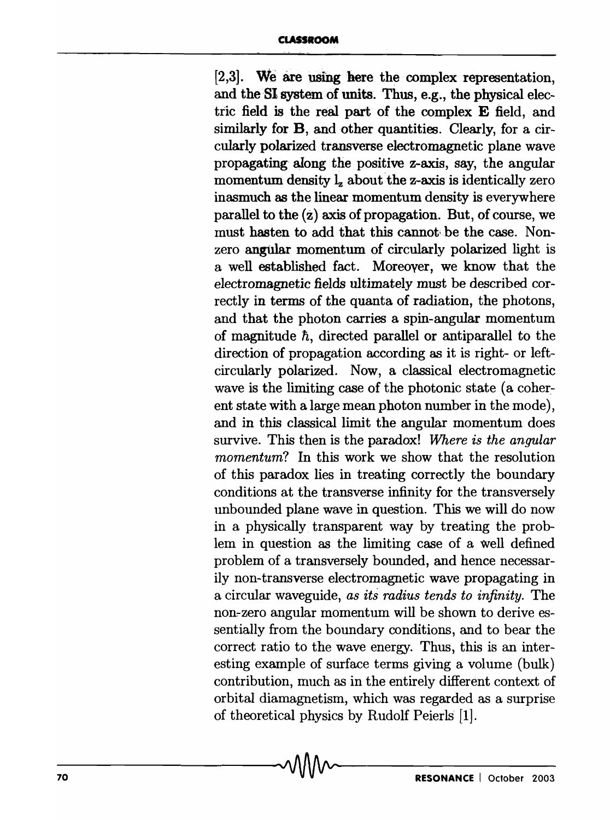[2,3]. We are using here the complex representation, and the SI system of units. Thus, e.g., the physical electric field is the real part of the complex E field, and similarly for **B**, and other quantities. Clearly, for a circularly polarized transverse electromagnetic plane wave propagating along the positive z-axis, say, the angular momentum density  $l_{z}$  about the z-axis is identically zero inasmuch as the linear momentum density is everywhere parallel to the  $(z)$  axis of propagation. But, of course, we must hasten to add that this cannot; be the case. Nonzero angular momentum of circularly polarized light is a well established fact. Moreover, we know that the electromagnetic fields ultimately must be described correctly in terms of the quanta of radiation, the photons, and that the photon carries a spin-angular momentum of magnitude *n,* directed parallel or antiparallel to the direction of propagation according as it is right- or leftcircularly polarized. Now, a classical electromagnetic wave is the limiting case of the photonic state (a coherent state with a large mean photon number in the mode), and in this classical limit the angular momentum does survive. This then is the paradox! *Where is the angular momentum*? In this work we show that the resolution of this paradox lies in treating correctly the boundary conditions at the transverse infinity for the transversely unbounded plane wave in question. This we will do now in a physically. transparent way by treating the problem in question as the limiting case of a well defined problem of a transversely bounded, and hence necessarily non-transverse electromagnetic wave propagating in a circular waveguide, *as its radius tends to infinity.* The non-zero angular momentum will be shown to derive essentially from the boundary conditions, and to bear the correct ratio to the wave energy. Thus, this is an interesting example of surface terms giving a volume (bulk) contribution, much as in the entirely different context of orbital diamagnetism, which was regarded as a surprise of theoretical physics by Rudolf Peierls [1].  $\sim$  . The cross-corolling priys is synchronical priys in the set of  $\sim$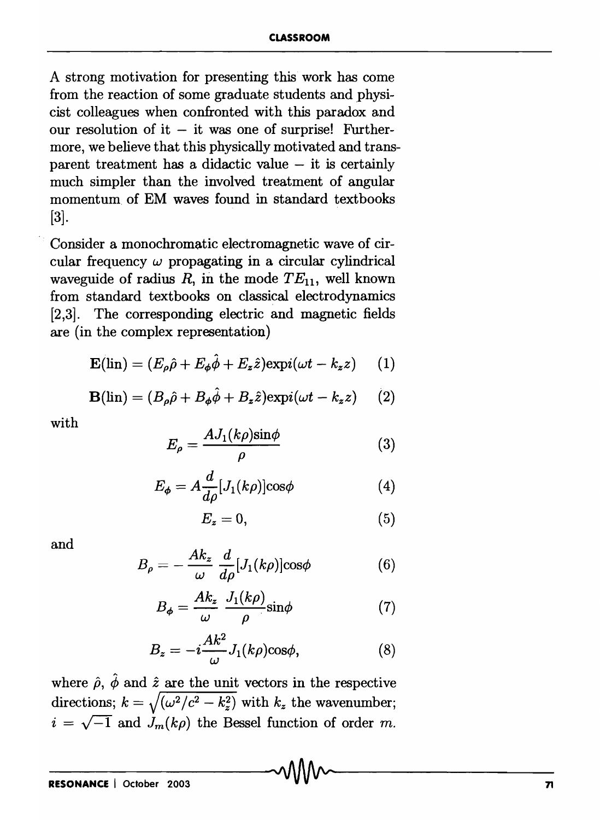A strong motivation for presenting this work has come from the reaction of some graduate students and physicist colleagues when confronted with this paradox and our resolution of it  $-$  it was one of surprise! Furthermore, we believe that this physically motivated and transparent treatment has a didactic value  $-$  it is certainly much simpler than the involved treatment of angular momentum of EM waves found in standard textbooks [3).

Consider a monochromatic electromagnetic wave of circular frequency  $\omega$  propagating in a circular cylindrical waveguide of radius  $R$ , in the mode  $TE_{11}$ , well known from standard textbooks on classical electrodynamics [2,3]. The corresponding electric and magnetic fields are (in the complex representation)

$$
\mathbf{E}(\text{lin}) = (E_{\rho}\hat{\rho} + E_{\phi}\hat{\phi} + E_{z}\hat{z})\exp(i(\omega t - k_{z}z) \qquad (1)
$$

$$
\mathbf{B}(\text{lin}) = (B_{\rho}\hat{\rho} + B_{\phi}\hat{\phi} + B_{z}\hat{z})\exp(i(\omega t - k_{z}z) \qquad (2)
$$

with

$$
E_{\rho} = \frac{AJ_1(k\rho)\sin\phi}{\rho} \tag{3}
$$

$$
E_{\phi} = A \frac{d}{d\rho} [J_1(k\rho)] \cos \phi \tag{4}
$$

$$
E_z = 0,\t\t(5)
$$

and

$$
B_{\rho} = -\frac{Ak_{z}}{\omega} \frac{d}{d\rho} [J_{1}(k\rho)] \cos\phi \tag{6}
$$

$$
B_{\phi} = \frac{Ak_z}{\omega} \frac{J_1(k\rho)}{\rho} \sin \phi \tag{7}
$$

$$
B_z = -i\frac{Ak^2}{\omega}J_1(k\rho)\cos\phi,\tag{8}
$$

where  $\hat{\rho}$ ,  $\hat{\phi}$  and  $\hat{z}$  are the unit vectors in the respective directions;  $k = \sqrt{(\omega^2/c^2 - k_z^2)}$  with  $k_z$  the wavenumber;  $i = \sqrt{-1}$  and  $J_m(k\rho)$  the Bessel function of order m.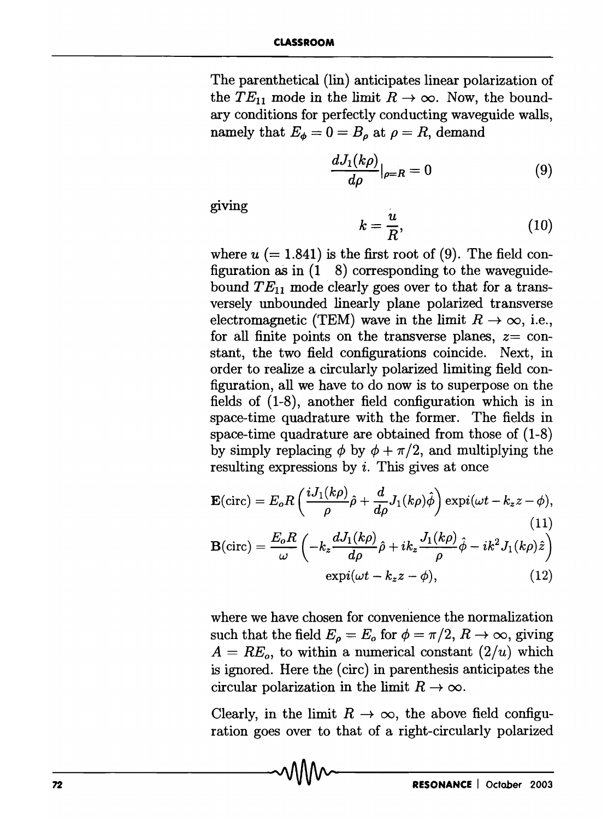The parenthetical (lin) anticipates linear polarization of the  $TE_{11}$  mode in the limit  $R \to \infty$ . Now, the boundary conditions for perfectly conducting waveguide walls, namely that  $E_{\phi}=0=B_{\rho}$  at  $\rho=R$ , demand

$$
\frac{dJ_1(k\rho)}{d\rho}|_{\rho=R} = 0 \tag{9}
$$

giving

$$
k = \frac{u}{R},\tag{10}
$$

where  $u$  (= 1.841) is the first root of (9). The field configuration as in  $(1 \ 8)$  corresponding to the waveguidebound  $TE_{11}$  mode clearly goes over to that for a transversely unbounded linearly plane polarized transverse electromagnetic (TEM) wave in the limit  $R \to \infty$ , i.e., for all finite points on the transverse planes,  $z = \text{con-}$ stant, the two field configurations coincide. Next, in order to realize a circularly polarized limiting field configuration, all we have to do now is to superpose on the fields of (1-8), another field configuration which is in space-time quadrature with the former. The fields in space-time quadrature are obtained from those of (1-8) by simply replacing  $\phi$  by  $\phi + \pi/2$ , and multiplying the resulting expressions by i. This gives at once

$$
\mathbf{E}(\text{circ}) = E_o R \left( \frac{iJ_1(k\rho)}{\rho} \hat{\rho} + \frac{d}{d\rho} J_1(k\rho) \hat{\phi} \right) \exp(i(\omega t - k_z z - \phi),
$$
\n(11)

$$
\mathbf{B}(\text{circ}) = \frac{E_o R}{\omega} \left( -k_z \frac{dJ_1(k\rho)}{d\rho} \hat{\rho} + ik_z \frac{J_1(k\rho)}{\rho} \hat{\phi} - ik^2 J_1(k\rho) \hat{z} \right)
$$
  
 
$$
\exp(i(\omega t - k_z z - \phi), \qquad (12)
$$

where we have chosen for convenience the normalization such that the field  $E_{\rho} = E_o$  for  $\phi = \pi/2, R \rightarrow \infty$ , giving  $A = RE<sub>o</sub>$ , to within a numerical constant  $(2/u)$  which is ignored. Here the (eire) in parenthesis anticipates the circular polarization in the limit  $R \to \infty$ .

Clearly, in the limit  $R \to \infty$ , the above field configuration goes over to that of a right-circularly polarized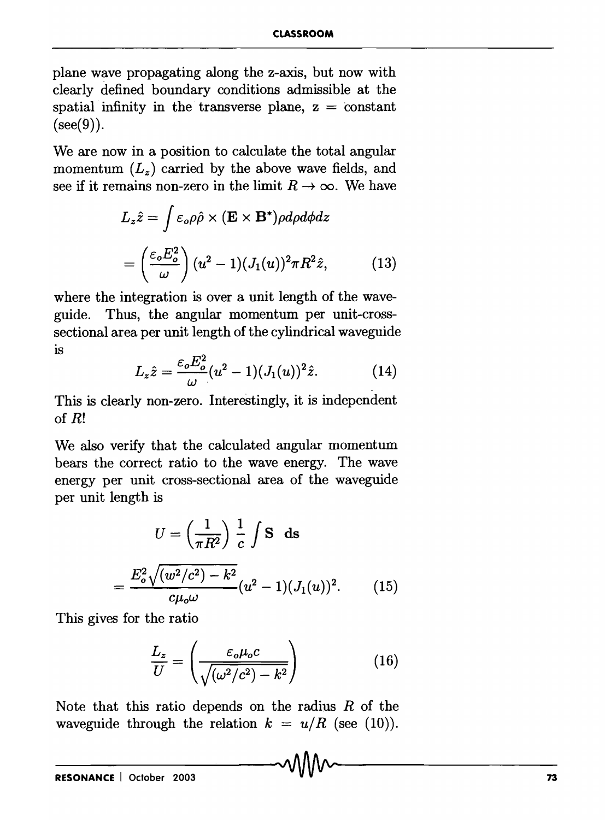plane wave propagating along the z-axis, but now with clearly defined boundary conditions admissible at the spatial infinity in the transverse plane,  $z = constant$  $(see (9))$ .

We are now in a position to calculate the total angular momentum  $(L_z)$  carried by the above wave fields, and see if it remains non-zero in the limit  $R \to \infty$ . We have

$$
L_z \hat{z} = \int \varepsilon_o \rho \hat{\rho} \times (\mathbf{E} \times \mathbf{B}^*) \rho d\rho d\phi dz
$$
  
= 
$$
\left(\frac{\varepsilon_o E_o^2}{\omega}\right) (u^2 - 1) (J_1(u))^2 \pi R^2 \hat{z},
$$
 (13)

where the integration is over a unit length of the waveguide. Thus, the angular momentum per unit-crosssectional area per unit length of the cylindrical waveguide is

$$
L_z \hat{z} = \frac{\varepsilon_o E_o^2}{\omega} (u^2 - 1) (J_1(u))^2 \hat{z}.
$$
 (14)

This is clearly non-zero. Interestingly, it is independent of R!

We also verify that the calculated angular momentum bears the correct ratio to the wave energy. The wave energy per unit cross-sectional area of the waveguide per unit length is

$$
U = \left(\frac{1}{\pi R^2}\right) \frac{1}{c} \int \mathbf{S} \, \mathbf{ds}
$$

$$
= \frac{E_o^2 \sqrt{(w^2/c^2) - k^2}}{c\mu_o \omega} (u^2 - 1) (J_1(u))^2. \tag{15}
$$

This gives for the ratio

$$
\frac{L_z}{U} = \left(\frac{\varepsilon_o \mu_o c}{\sqrt{(\omega^2/c^2) - k^2}}\right) \tag{16}
$$

Note that this ratio depends on the radius  $R$  of the waveguide through the relation  $k = u/R$  (see (10)).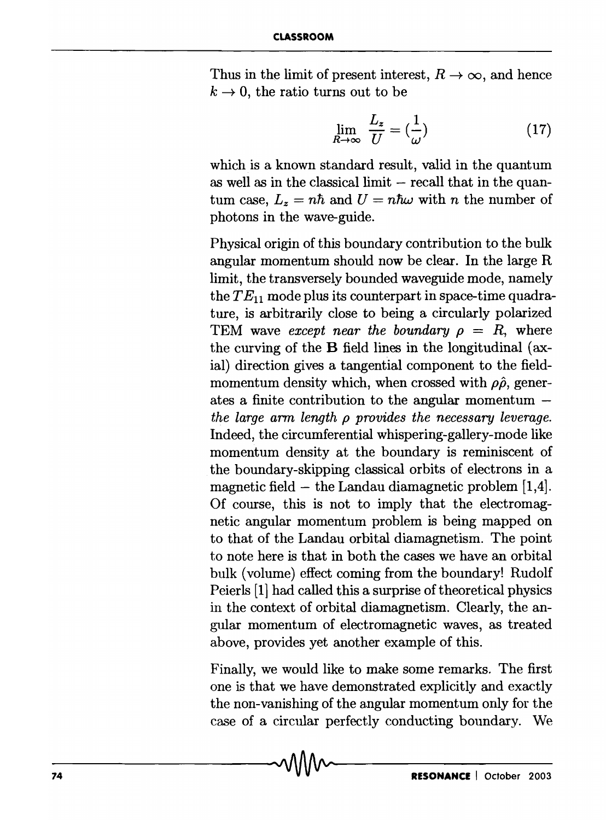Thus in the limit of present interest,  $R \to \infty$ , and hence  $k \rightarrow 0$ , the ratio turns out to be

$$
\lim_{R \to \infty} \frac{L_z}{U} = \left(\frac{1}{\omega}\right) \tag{17}
$$

which is a known standard result, valid in the quantum as well as in the classical limit  $-$  recall that in the quantum case,  $L_z = n\hbar$  and  $U = n\hbar\omega$  with *n* the number of photons in the wave-guide.

Physical origin of this boundary contribution to the bulk angular momentum should now be clear. In the large R limit, the transversely bounded waveguide mode, namely the  $TE_{11}$  mode plus its counterpart in space-time quadrature, is arbitrarily close to being a circularly polarized TEM wave *except near the boundary*  $\rho = R$ , where the curving of the B field lines in the longitudinal (axial) direction gives a tangential component to the fieldmomentum density which, when crossed with  $\rho\hat{\rho}$ , generates a finite contribution to the angular momentum *the large arm length p provides the necessary leverage.*  Indeed, the circumferential whispering-gallery-mode like momentum density at the boundary is reminiscent of the boundary-skipping classical orbits of electrons in a magnetic field  $-$  the Landau diamagnetic problem [1,4]. Of course, this is not to imply that the electromagnetic angular momentum problem is being mapped on to that of the Landau orbital diamagnetism. The point to note here is that in both the cases we have an orbital bulk (volume) effect coming from the boundary! Rudolf Peierls [11 had called this a surprise of theoretical physics in the context of orbital diamagnetism. Clearly, the angular momentum of electromagnetic waves, as treated above, provides yet another example of this.

Finally, we would like to make some remarks. The first one is that we have demonstrated explicitly and exactly the non-vanishing of the angular momentum only for the case of a circular perfectly conducting boundary. We